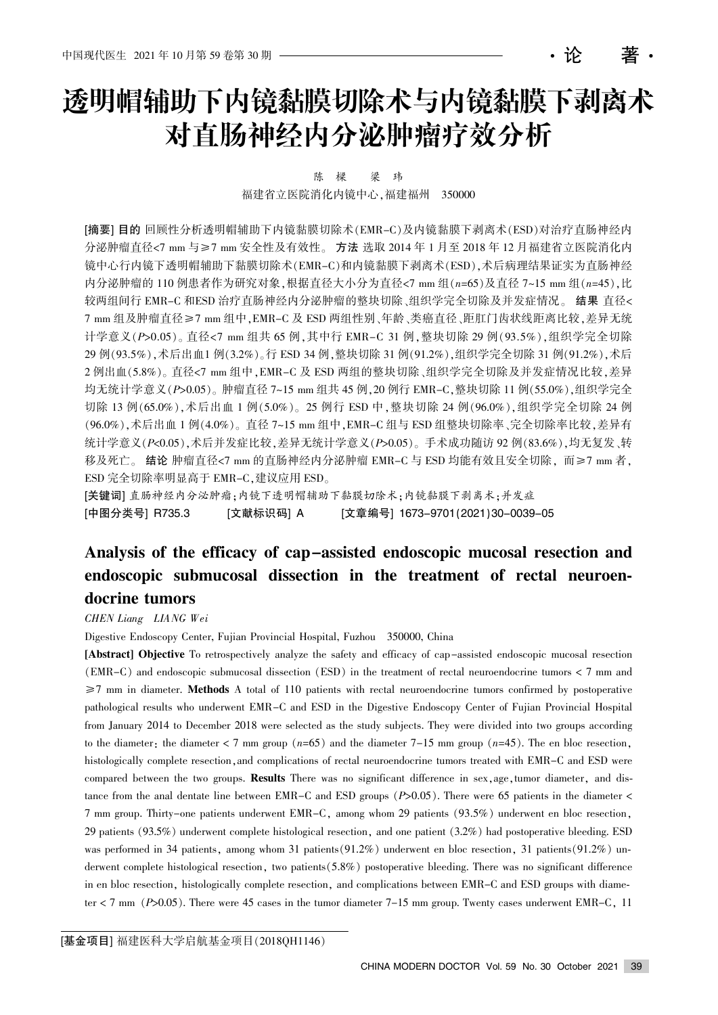# 透明帽辅助下内镜黏膜切除术与内镜黏膜下剥离术 对直肠神经内分泌肿瘤疗效分析

窑论 著窑

陈 樑 梁 玮

福建省立医院消化内镜中心, 福建福州 350000

[摘要] 目的 回顾性分析透明帽辅助下内镜黏膜切除术(EMR-C)及内镜黏膜下剥离术(ESD)对治疗直肠神经内 分泌肿瘤直径<7 mm 与≥7 mm 安全性及有效性。方法 选取 2014 年 1 月至 2018 年 12 月福建省立医院消化内 镜中心行内镜下透明帽辅助下黏膜切除术(EMR-C)和内镜黏膜下剥离术(ESD),术后病理结果证实为直肠神经 内分泌肿瘤的 110 例患者作为研究对象,根据直径大小分为直径<7 mm 组 $(n=65)$ 及直径 7~15 mm 组 $(n=45)$ ,比 较两组间行 EMR-C 和ESD 治疗直肠神经内分泌肿瘤的整块切除、组织学完全切除及并发症情况。结果 直径< 7 mm 组及肿瘤直径≥7 mm 组中,EMR-C 及 ESD 两组性别、年龄、类癌直径、距肛门齿状线距离比较,差异无统 计学意义(P>0.05)。直径<7 mm 组共 65 例,其中行 EMR-C 31 例,整块切除 29 例(93.5%),组织学完全切除 29 例(93.5%),术后出血1 例(3.2%)。行 ESD 34 例,整块切除 31 例(91.2%),组织学完全切除 31 例(91.2%),术后 2 例出血(5.8%)。直径<7 mm 组中, EMR-C 及 ESD 两组的整块切除、组织学完全切除及并发症情况比较,差异 均无统计学意义(P>0.05)。肿瘤直径 7~15 mm 组共 45 例, 20 例行 EMR-C, 整块切除 11 例(55.0%),组织学完全 切除 13 例(65.0%), 术后出血 1 例(5.0%)。25 例行 ESD 中, 整块切除 24 例(96.0%), 组织学完全切除 24 例 (96.0%),术后出血 1 例(4.0%)。直径 7~15 mm 组中, EMR-C 组与 ESD 组整块切除率、完全切除率比较, 差异有 统计学意义 $(P<sub>0.05</sub>)$ , 术后并发症比较, 差异无统计学意义 $(P>0.05)$ 。手术成功随访 92 例 $(83.6\%)$ , 均无复发、转 移及死亡。结论 肿瘤直径<7 mm 的直肠神经内分泌肿瘤 EMR-C 与 ESD 均能有效且安全切除, 而≥7 mm 者, ESD 完全切除率明显高于 EMR-C,建议应用 ESD。

[关键词] 直肠神经内分泌肿瘤:内镜下透明帽辅助下黏膜切除术:内镜黏膜下剥离术:并发症 [中图分类号] R735.3 [文献标识码] A [文章编号] 1673–9701(2021)30–0039–05

# Analysis of the efficacy of cap-assisted endoscopic mucosal resection and endoscopic submucosal dissection in the treatment of rectal neuroendocrine tumors

#### CHEN Liang LIANG Wei

Digestive Endoscopy Center, Fujian Provincial Hospital, Fuzhou 350000, China

[Abstract] Objective To retrospectively analyze the safety and efficacy of cap-assisted endoscopic mucosal resection  $EMR-C$  and endoscopic submucosal dissection  $(ESD)$  in the treatment of rectal neuroendocrine tumors  $\lt 7$  mm and  $\geq$ 7 mm in diameter. Methods A total of 110 patients with rectal neuroendocrine tumors confirmed by postoperative pathological results who underwent EMR-C and ESD in the Digestive Endoscopy Center of Fujian Provincial Hospital from January 2014 to December 2018 were selected as the study subjects. They were divided into two groups according to the diameter; the diameter  $\lt 7$  mm group  $(n=65)$  and the diameter 7-15 mm group  $(n=45)$ . The en bloc resection, histologically complete resection, and complications of rectal neuroendocrine tumors treated with EMR-C and ESD were compared between the two groups. Results There was no significant difference in sex, age, tumor diameter, and distance from the anal dentate line between EMR-C and ESD groups  $(P>0.05)$ . There were 65 patients in the diameter < 7 mm group. Thirty-one patients underwent EMR-C, among whom 29 patients  $(93.5%)$  underwent en bloc resection, 29 patients (93.5%) underwent complete histological resection, and one patient (3.2%) had postoperative bleeding. ESD was performed in 34 patients, among whom 31 patients (91.2%) underwent en bloc resection, 31 patients (91.2%) underwent complete histological resection, two patients  $(5.8\%)$  postoperative bleeding. There was no significant difference in en bloc resection, histologically complete resection, and complications between EMR-C and ESD groups with diameter  $\lt 7$  mm ( $P$ >0.05). There were 45 cases in the tumor diameter 7-15 mm group. Twenty cases underwent EMR-C, 11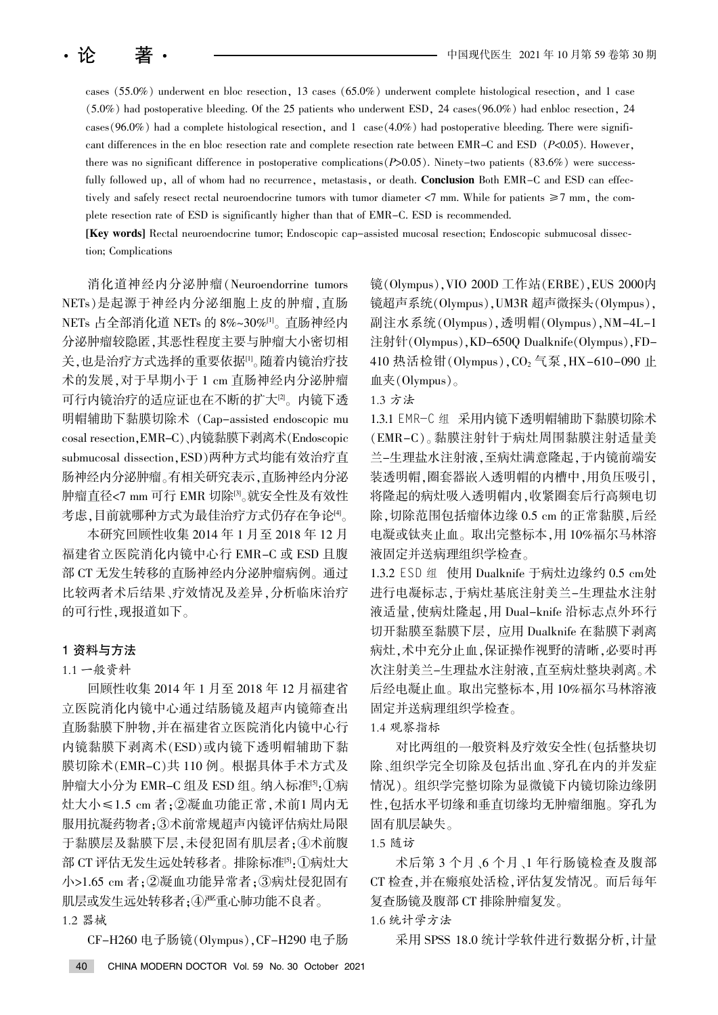cases  $(55.0\%)$  underwent en bloc resection, 13 cases  $(65.0\%)$  underwent complete histological resection, and 1 case  $(5.0\%)$  had postoperative bleeding. Of the 25 patients who underwent ESD, 24 cases  $(96.0\%)$  had enbloc resection, 24 cases  $(96.0\%)$  had a complete histological resection, and 1 case  $(4.0\%)$  had postoperative bleeding. There were significant differences in the en bloc resection rate and complete resection rate between EMR-C and ESD  $(P<0.05)$ . However, there was no significant difference in postoperative complications  $(P>0.05)$ . Ninety-two patients  $(83.6%)$  were successfully followed up, all of whom had no recurrence, metastasis, or death. Conclusion Both EMR-C and ESD can effectively and safely resect rectal neuroendocrine tumors with tumor diameter  $\langle 7 \text{ mm}$ . While for patients  $\geq 7 \text{ mm}$ , the complete resection rate of ESD is significantly higher than that of EMR-C. ESD is recommended.

[Key words] Rectal neuroendocrine tumor; Endoscopic cap-assisted mucosal resection; Endoscopic submucosal dissection; Complications

消化道神经内分泌肿瘤(Neuroendorrine tumors NETs)是起源于神经内分泌细胞上皮的肿瘤,直肠 NETs 占全部消化道 NETs 的 8%~30%[1]。直肠神经内 分泌肿瘤较隐匿,其恶性程度主要与肿瘤大小密切相 关,也是治疗方式选择的重要依据[1]。随着内镜治疗技 术的发展, 对于早期小于 1 cm 直肠神经内分泌肿瘤 可行内镜治疗的适应证也在不断的扩大[2]。内镜下透 明帽辅助下黏膜切除术 (Cap-assisted endoscopic mu cosal resection, EMR-C)、内镜黏膜下剥离术(Endoscopic submucosal dissection, ESD)两种方式均能有效治疗直 肠神经内分泌肿瘤。有相关研究表示, 直肠神经内分泌 肿瘤直径<7 mm 可行 EMR 切除[3]。就安全性及有效性 考虑,目前就哪种方式为最佳治疗方式仍存在争论[4]。

本研究回顾性收集 2014 年 1 月至 2018 年 12 月 福建省立医院消化内镜中心行 EMR-C 或 ESD 且腹 部 CT 无发生转移的直肠神经内分泌肿瘤病例。通过 比较两者术后结果、疗效情况及差异,分析临床治疗 的可行性,现报道如下。

# 1 资料与方法

#### 1.1 一般资料

回顾性收集 2014 年 1 月至 2018 年 12 月福建省 立医院消化内镜中心通过结肠镜及超声内镜筛查出 直肠黏膜下肿物,并在福建省立医院消化内镜中心行 内镜黏膜下剥离术(ESD)或内镜下透明帽辅助下黏 膜切除术(EMR-C)共 110 例。根据具体手术方式及 肿瘤大小分为 EMR-C 组及 ESD 组。纳入标准[5]:①病 灶大小≤1.5 cm 者;②凝血功能正常,术前1 周内无 服用抗凝药物者:3术前常规超声内镜评估病灶局限 于黏膜层及黏膜下层,未侵犯固有肌层者;4术前腹 部 CT 评估无发生远处转移者。排除标准<sup>[5]</sup>:①病灶大 小>1.65 cm 者; ②凝血功能异常者; ③病灶侵犯固有 肌层或发生远处转移者;4严重心肺功能不良者。 1.2 器械

CF-H260 电子肠镜(Olympus), CF-H290 电子肠

镜(Olympus), VIO 200D 工作站(ERBE), EUS 2000内 镜超声系统(Olympus), UM3R 超声微探头(Olympus), 副注水系统(Olympus),透明帽(Olympus),NM-4L-1 注射针(Olympus), KD-650Q Dualknife(Olympus), FD-410 热活检钳(Olympus), CO<sub>2</sub> 气泵, HX-610-090 止 血夹 $(Olympus)_\circ$ 

#### 1.3 方法

1.3.1 EMR-C 组 采用内镜下透明帽辅助下黏膜切除术 (EMR-C)。黏膜注射针于病灶周围黏膜注射适量美 兰-生理盐水注射液,至病灶满意隆起,于内镜前端安 装透明帽,圈套器嵌入透明帽的内槽中,用负压吸引, 将隆起的病灶吸入透明帽内,收紧圈套后行高频电切 除,切除范围包括瘤体边缘 0.5 cm 的正常黏膜,后经 电凝或钛夹止血。取出完整标本,用10%福尔马林溶 液固定并送病理组织学检查。

1.3.2 ESD 组 使用 Dualknife 于病灶边缘约 0.5 cm处 进行电凝标志,于病灶基底注射美兰-生理盐水注射 液适量,使病灶隆起,用 Dual-knife 沿标志点外环行 切开黏膜至黏膜下层, 应用 Dualknife 在黏膜下剥离 病灶,术中充分止血,保证操作视野的清晰,必要时再 次注射美兰-生理盐水注射液,直至病灶整块剥离。术 后经电凝止血。取出完整标本,用10%福尔马林溶液 固定并送病理组织学检查。

#### 1.4 观察指标

对比两组的一般资料及疗效安全性(包括整块切 除、组织学完全切除及包括出血、穿孔在内的并发症 情况)。组织学完整切除为显微镜下内镜切除边缘阴 性, 包括水平切缘和垂直切缘均无肿瘤细胞。穿孔为 固有肌层缺失。

1.5 随访

术后第 3 个月、6 个月、1 年行肠镜检查及腹部 CT 检查,并在瘢痕处活检,评估复发情况。而后每年 复查肠镜及腹部 CT 排除肿瘤复发。

## 1.6 统计学方法

采用 SPSS 18.0 统计学软件进行数据分析, 计量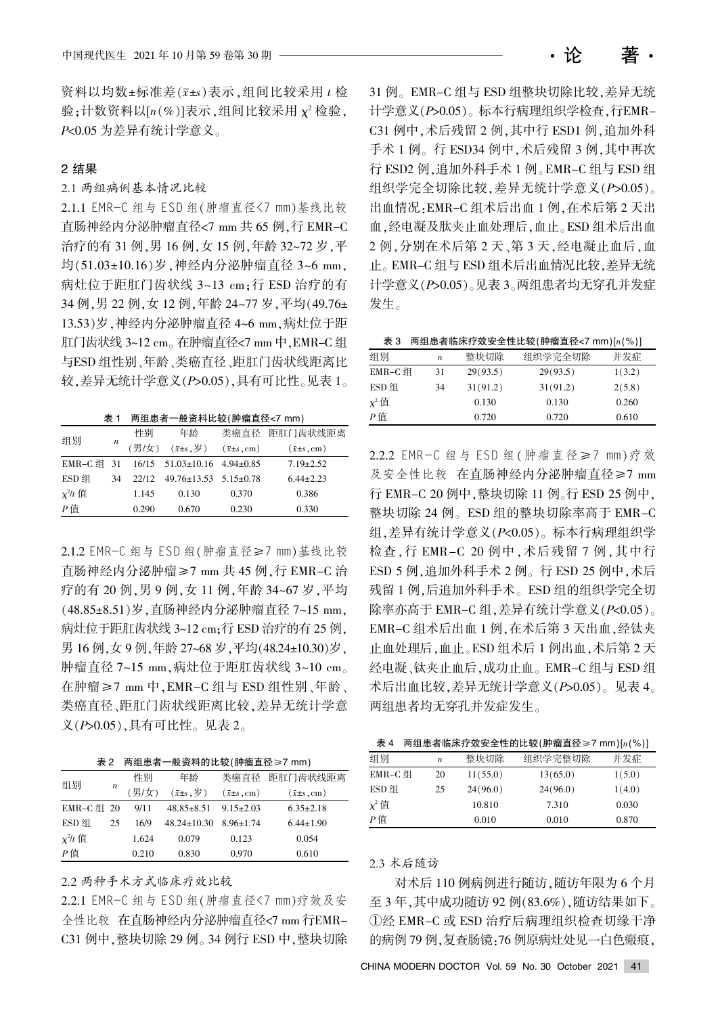资料以均数±标准差(x±s)表示,组间比较采用 t 检 验;计数资料以[n(%)]表示,组间比较采用  $χ$ <sup>2</sup> 检验,  $P$ <0.05 为差异有统计学意义。

# 2 结果

2.1 两组病例基本情况比较

2.1.1 EMR-C 组与 ESD 组(肿瘤直径<7 mm)基线比较 直肠神经内分泌肿瘤直径<7 mm 共 65 例, 行 EMR-C 治疗的有 31 例, 男 16 例, 女 15 例, 年龄 32~72 岁, 平 均(51.03±10.16)岁, 神经内分泌肿瘤直径 3~6 mm, 病灶位于距肛门齿状线 3~13 cm:行 ESD 治疗的有 34 例, 男 22 例, 女 12 例, 年龄 24~77 岁, 平均(49.76± 13.53)岁, 神经内分泌肿瘤直径 4~6 mm, 病灶位于距 肛门齿状线 3~12 cm。在肿瘤直径<7 mm 中, EMR-C 组 与ESD 组性别、年龄、类癌直径、距肛门齿状线距离比 较,差异无统计学意义 $(P>0.05)$ ,具有可比性。见表 1。

 $\pm$  1 两组患者一般资料比较(肿瘤直径<7 mm)

| 组别           | $\boldsymbol{n}$ | 性别    | 年龄                                        |                              | 类癌直径 距肛门齿状线距离                |
|--------------|------------------|-------|-------------------------------------------|------------------------------|------------------------------|
|              |                  | (男/女) | $(\bar{x} \pm s, \overline{\varphi})$     | $(\bar{x} \pm s, \text{cm})$ | $(\bar{x} \pm s, \text{cm})$ |
| EMR-C 组 31   |                  |       | $16/15$ $51.03 \pm 10.16$ $4.94 \pm 0.85$ |                              | $7.19 \pm 2.52$              |
| ESD 组        | 34               | 22/12 | $49.76 \pm 13.53$ $5.15 \pm 0.78$         |                              | $6.44 \pm 2.23$              |
| $\chi^2/t$ 值 |                  | 1.145 | 0.130                                     | 0.370                        | 0.386                        |
| $P$ 值        |                  | 0.290 | 0.670                                     | 0.230                        | 0.330                        |

2.1.2 EMR-C 组与 ESD 组(肿瘤直径≥7 mm)基线比较 直肠神经内分泌肿瘤≥7 mm 共 45 例, 行 EMR-C 治 疗的有 20 例, 男 9 例, 女 11 例, 年龄 34~67 岁, 平均 (48.85±8.51)岁, 直肠神经内分泌肿瘤直径 7~15 mm, 病灶位于距肛齿状线 3~12 cm;行 ESD 治疗的有 25 例, 男 16 例, 女 9 例, 年龄 27~68 岁, 平均(48.24±10.30)岁, 肿瘤直径 7~15 mm, 病灶位于距肛齿状线 3~10 cm。 在肿瘤≥7 mm 中, EMR-C 组与 ESD 组性别、年龄、 类癌直径、距肛门齿状线距离比较, 差异无统计学意 义(P>0.05),具有可比性。见表 2。

| 表 2 两组患者一般资料的比较(肿瘤直径≥7 mm) |  |
|----------------------------|--|
|----------------------------|--|

| 组别                                 | $\boldsymbol{n}$ | 性别    | 年龄                                        |                            | 类癌直径 距肛门齿状线距离                |
|------------------------------------|------------------|-------|-------------------------------------------|----------------------------|------------------------------|
|                                    |                  | (男/女) | $(\bar{x} \pm s, \overline{\mathcal{G}})$ | $(\bar{x} \pm s \cdot cm)$ | $(\bar{x} \pm s, \text{cm})$ |
| EMR-C 组 20                         |                  | 9/11  | $48.85 \pm 8.51$                          | $9.15 \pm 2.03$            | $6.35 \pm 2.18$              |
| ESD 组                              | 25               | 16/9  | $48.24 \pm 10.30$                         | $8.96 \pm 1.74$            | $6.44 \pm 1.90$              |
| $\chi^2/t \stackrel{\text{df}}{=}$ |                  | 1.624 | 0.079                                     | 0.123                      | 0.054                        |
| $P$ 值                              |                  | 0.210 | 0.830                                     | 0.970                      | 0.610                        |

2.2 两种手术方式临床疗效比较

2.2.1 EMR-C 组与 ESD 组(肿瘤直径<7 mm)疗效及安 全性比较 在直肠神经内分泌肿瘤直径<7 mm 行EMR-C31 例中, 整块切除 29 例。34 例行 ESD 中, 整块切除

31 例。EMR-C 组与 ESD 组整块切除比较,差异无统 计学意义(P>0.05)。标本行病理组织学检查,行EMR-C31 例中, 术后残留 2 例, 其中行 ESD1 例, 追加外科 手术 1 例。行 ESD34 例中, 术后残留 3 例, 其中再次 行 ESD2 例, 追加外科手术 1 例。EMR-C 组与 ESD 组 组织学完全切除比较,差异无统计学意义(P>0.05)。 出血情况: EMR-C 组术后出血 1 例, 在术后第 2 天出 血,经电凝及肽夹止血处理后,血止。ESD 组术后出血 2 例, 分别在术后第 2 天、第 3 天, 经电凝止血后, 血 止。EMR-C 组与 ESD 组术后出血情况比较,差异无统 计学意义(P>0.05)。见表 3。两组患者均无穿孔并发症 发生。

| 表 3 两组患者临床疗效安全性比较(肿瘤直径<7 mm) $[n(\%)]$ |  |  |
|----------------------------------------|--|--|
|----------------------------------------|--|--|

| 组别         | $\boldsymbol{n}$ | 整块切除     | 组织学完全切除  | 并发症    |
|------------|------------------|----------|----------|--------|
| $EMR-C$ 组  | 31               | 29(93.5) | 29(93.5) | 1(3.2) |
| ESD 组      | 34               | 31(91.2) | 31(91.2) | 2(5.8) |
| $\chi^2$ 值 |                  | 0.130    | 0.130    | 0.260  |
| P值         |                  | 0.720    | 0.720    | 0.610  |

2.2.2 EMR-C 组与 ESD 组(肿瘤直径≥7 mm)疗效 及安全性比较 在直肠神经内分泌肿瘤直径≥7 mm 行 EMR-C 20 例中, 整块切除 11 例。行 ESD 25 例中, 整块切除 24 例。ESD 组的整块切除率高于 EMR-C 组,差异有统计学意义(P<0.05)。标本行病理组织学 检查, 行 EMR-C 20 例中, 术后残留 7 例, 其中行 ESD 5 例, 追加外科手术 2 例。行 ESD 25 例中, 术后 残留 1 例,后追加外科手术。ESD 组的组织学完全切 除率亦高于 EMR-C 组, 差异有统计学意义( $P$ <0.05)。 EMR-C 组术后出血 1 例, 在术后第 3 天出血, 经钛夹 止血处理后,血止。ESD 组术后 1 例出血,术后第 2 天 经电凝、钛夹止血后,成功止血。EMR-C 组与 ESD 组 术后出血比较, 差异无统计学意义 ( $P > 0.05$ )。见表 4。 两组患者均无穿孔并发症发生。

|  | 表 4 两组患者临床疗效安全性的比较(肿瘤直径≥7 mm)[ $n$ (%)] |  |
|--|-----------------------------------------|--|
|--|-----------------------------------------|--|

| 组别         | $\boldsymbol{n}$ | 整块切除     | 组织学完整切除  | 并发症    |
|------------|------------------|----------|----------|--------|
| EMR-C 组    | 20               | 11(55.0) | 13(65.0) | 1(5.0) |
| ESD 组      | 25               | 24(96.0) | 24(96.0) | 1(4.0) |
| $\chi^2$ 值 |                  | 10.810   | 7.310    | 0.030  |
| Р值         |                  | 0.010    | 0.010    | 0.870  |

#### 2.3 术后随访

对术后 110 例病例进行随访, 随访年限为 6 个月 至 3年,其中成功随访 92 例(83.6%),随访结果如下。 ①经 EMR-C 或 ESD 治疗后病理组织检查切缘干净 的病例 79 例,复查肠镜: 76 例原病灶处见一白色瘢痕,

CHINA MODERN DOCTOR Vol. 59 No. 30 October 2021 41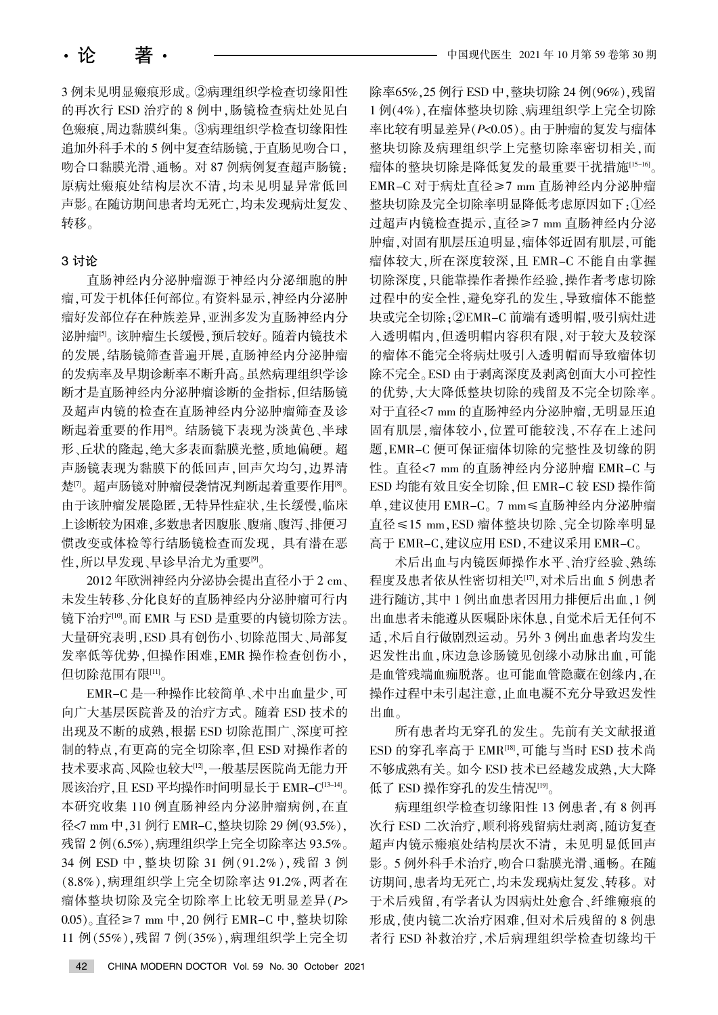3 例未见明显瘢痕形成。②病理组织学检查切缘阳性 的再次行 ESD 治疗的 8 例中, 肠镜检查病灶处见白 色瘢痕,周边黏膜纠集。③病理组织学检查切缘阳性 追加外科手术的 5 例中复查结肠镜, 于直肠见吻合口, 吻合口黏膜光滑、通畅。对 87 例病例复查超声肠镜: 原病灶瘢痕处结构层次不清,均未见明显异常低回 声影。在随访期间患者均无死亡,均未发现病灶复发、 转移。

#### 3 讨论

直肠神经内分泌肿瘤源于神经内分泌细胞的肿 瘤,可发于机体任何部位。有资料显示,神经内分泌肿 瘤好发部位存在种族差异,亚洲多发为直肠神经内分 泌肿瘤<sup>[5]</sup>。该肿瘤生长缓慢,预后较好。随着内镜技术 的发展,结肠镜筛查普遍开展,直肠神经内分泌肿瘤 的发病率及早期诊断率不断升高。虽然病理组织学诊 断才是直肠神经内分泌肿瘤诊断的金指标,但结肠镜 及超声内镜的检查在直肠神经内分泌肿瘤筛查及诊 断起着重要的作用<sup>[6]</sup>。结肠镜下表现为淡黄色、半球 形、丘状的隆起,绝大多表面黏膜光整,质地偏硬。超 声肠镜表现为黏膜下的低回声,回声欠均匀,边界清 楚[7]。超声肠镜对肿瘤侵袭情况判断起着重要作用<sup>[8]</sup>。 由于该肿瘤发展隐匿,无特异性症状,生长缓慢,临床 上诊断较为困难,多数患者因腹胀、腹痛、腹泻、排便习 惯改变或体检等行结肠镜检查而发现,具有潜在恶 性,所以早发现、早诊早治尤为重要[9]。

2012 年欧洲神经内分泌协会提出直径小于 2 cm、 未发生转移、分化良好的直肠神经内分泌肿瘤可行内 镜下治疗<sup>[10</sup>。而 EMR 与 ESD 是重要的内镜切除方法。 大量研究表明, ESD 具有创伤小、切除范围大、局部复 发率低等优势,但操作困难,EMR 操作检查创伤小, 但切除范围有限[11]。

EMR-C 是一种操作比较简单、术中出血量少,可 向广大基层医院普及的治疗方式。随着 ESD 技术的 出现及不断的成熟,根据 ESD 切除范围广、深度可控 制的特点,有更高的完全切除率,但 ESD 对操作者的 技术要求高、风险也较大[12],一般基层医院尚无能力开 展该治疗. 且 ESD 平均操作时间明显长于 EMR- $C^{[13-14]}$ 本研究收集 110 例直肠神经内分泌肿瘤病例,在直 径<7 mm 中, 31 例行 EMR-C, 整块切除 29 例(93.5%), 残留 2 例(6.5%),病理组织学上完全切除率达 93.5%。 34 例 ESD 中, 整块切除 31 例(91.2%), 残留 3 例 (8.8%),病理组织学上完全切除率达 91.2%,两者在 瘤体整块切除及完全切除率上比较无明显差异(P> 0.05)。直径≥7 mm 中, 20 例行 EMR-C 中, 整块切除 11 例(55%),残留 7 例(35%),病理组织学上完全切 除率65%, 25 例行 ESD 中, 整块切除 24 例(96%), 残留 1 例(4%),在瘤体整块切除、病理组织学上完全切除 率比较有明显差异(P<0.05)。由于肿瘤的复发与瘤体 整块切除及病理组织学上完整切除率密切相关,而 瘤体的整块切除是降低复发的最重要干扰措施[15-16]。 EMR-C 对于病灶直径≥7 mm 直肠神经内分泌肿瘤 整块切除及完全切除率明显降低考虑原因如下:1经 过超声内镜检查提示, 直径≥7 mm 直肠神经内分泌 肿瘤,对固有肌层压迫明显,瘤体邻近固有肌层,可能 瘤体较大,所在深度较深,且 EMR-C 不能自由掌握 切除深度,只能靠操作者操作经验,操作者考虑切除 过程中的安全性,避免穿孔的发生,导致瘤体不能整 块或完全切除:2EMR-C 前端有透明帽.吸引病灶进 入透明帽内,但透明帽内容积有限,对于较大及较深 的瘤体不能完全将病灶吸引入透明帽而导致瘤体切 除不完全。ESD 由于剥离深度及剥离创面大小可控性 的优势,大大降低整块切除的残留及不完全切除率。 对于直径<7 mm 的直肠神经内分泌肿瘤,无明显压迫 固有肌层,瘤体较小,位置可能较浅,不存在上述问 题, EMR-C 便可保证瘤体切除的完整性及切缘的阴 性。直径<7 mm 的直肠神经内分泌肿瘤 EMR-C 与 ESD 均能有效且安全切除,但 EMR-C 较 ESD 操作简 单,建议使用 EMR-C。7 mm < 直肠神经内分泌肿瘤 直径≤15 mm, ESD 瘤体整块切除、完全切除率明显 高于 EMR-C,建议应用 ESD,不建议采用 EMR-C。

术后出血与内镜医师操作水平、治疗经验、熟练 程度及患者依从性密切相关[17], 对术后出血 5 例患者 进行随访,其中1例出血患者因用力排便后出血,1例 出血患者未能遵从医嘱卧床休息,自觉术后无任何不 适,术后自行做剧烈运动。另外 3 例出血患者均发生 迟发性出血,床边急诊肠镜见创缘小动脉出血,可能 是血管残端血痂脱落。也可能血管隐藏在创缘内,在 操作过程中未引起注意,止血电凝不充分导致迟发性 出血。

所有患者均无穿孔的发生。先前有关文献报道 ESD 的穿孔率高于 EMR[18], 可能与当时 ESD 技术尚 不够成熟有关。如今 ESD 技术已经越发成熟,大大降 低了 ESD 操作穿孔的发生情况[19]。

病理组织学检查切缘阳性 13 例患者,有 8 例再 次行 ESD 二次治疗,顺利将残留病灶剥离,随访复查 超声内镜示瘢痕处结构层次不清, 未见明显低回声 影。5例外科手术治疗,吻合口黏膜光滑、通畅。在随 访期间,患者均无死亡,均未发现病灶复发、转移。对 于术后残留,有学者认为因病灶处愈合、纤维瘢痕的 形成,使内镜二次治疗困难,但对术后残留的 8 例患 者行 ESD 补救治疗, 术后病理组织学检查切缘均干